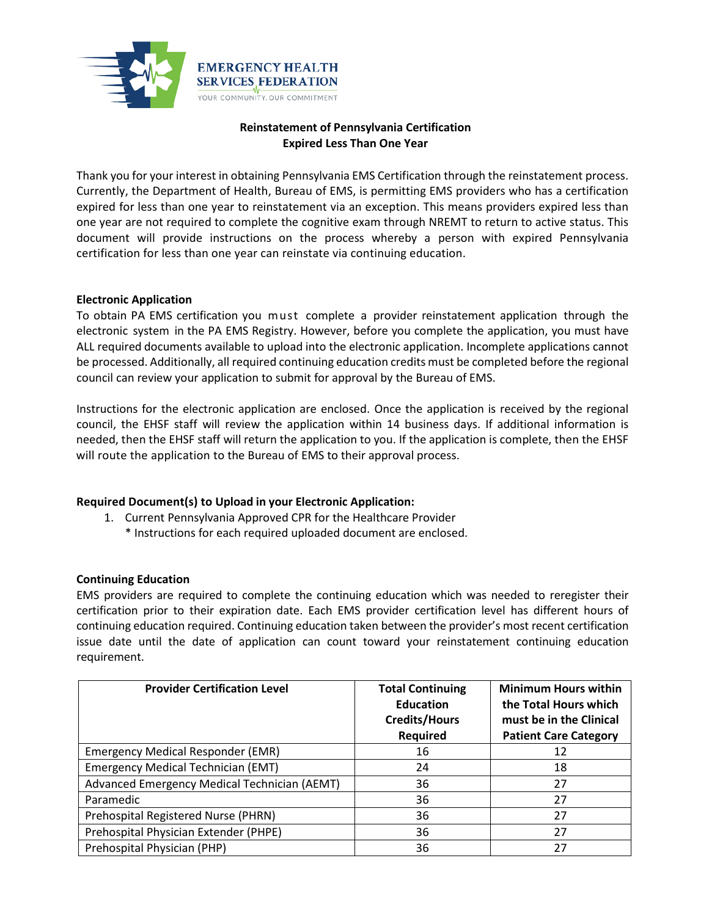

# **Reinstatement of Pennsylvania Certification Expired Less Than One Year**

Thank you for your interest in obtaining Pennsylvania EMS Certification through the reinstatement process. Currently, the Department of Health, Bureau of EMS, is permitting EMS providers who has a certification expired for less than one year to reinstatement via an exception. This means providers expired less than one year are not required to complete the cognitive exam through NREMT to return to active status. This document will provide instructions on the process whereby a person with expired Pennsylvania certification for less than one year can reinstate via continuing education.

## **Electronic Application**

To obtain PA EMS certification you must complete a provider reinstatement application through the electronic system in the PA EMS Registry. However, before you complete the application, you must have ALL required documents available to upload into the electronic application. Incomplete applications cannot be processed. Additionally, all required continuing education credits must be completed before the regional council can review your application to submit for approval by the Bureau of EMS.

Instructions for the electronic application are enclosed. Once the application is received by the regional council, the EHSF staff will review the application within 14 business days. If additional information is needed, then the EHSF staff will return the application to you. If the application is complete, then the EHSF will route the application to the Bureau of EMS to their approval process.

# **Required Document(s) to Upload in your Electronic Application:**

- 1. Current Pennsylvania Approved CPR for the Healthcare Provider
	- \* Instructions for each required uploaded document are enclosed.

## **Continuing Education**

EMS providers are required to complete the continuing education which was needed to reregister their certification prior to their expiration date. Each EMS provider certification level has different hours of continuing education required. Continuing education taken between the provider's most recent certification issue date until the date of application can count toward your reinstatement continuing education requirement.

| <b>Provider Certification Level</b>          | <b>Total Continuing</b><br><b>Education</b><br><b>Credits/Hours</b><br>Required | <b>Minimum Hours within</b><br>the Total Hours which<br>must be in the Clinical<br><b>Patient Care Category</b> |
|----------------------------------------------|---------------------------------------------------------------------------------|-----------------------------------------------------------------------------------------------------------------|
| <b>Emergency Medical Responder (EMR)</b>     | 16                                                                              | 12                                                                                                              |
| <b>Emergency Medical Technician (EMT)</b>    | 24                                                                              | 18                                                                                                              |
| Advanced Emergency Medical Technician (AEMT) | 36                                                                              | 27                                                                                                              |
| Paramedic                                    | 36                                                                              | 27                                                                                                              |
| Prehospital Registered Nurse (PHRN)          | 36                                                                              | 27                                                                                                              |
| Prehospital Physician Extender (PHPE)        | 36                                                                              | 27                                                                                                              |
| Prehospital Physician (PHP)                  | 36                                                                              | 27                                                                                                              |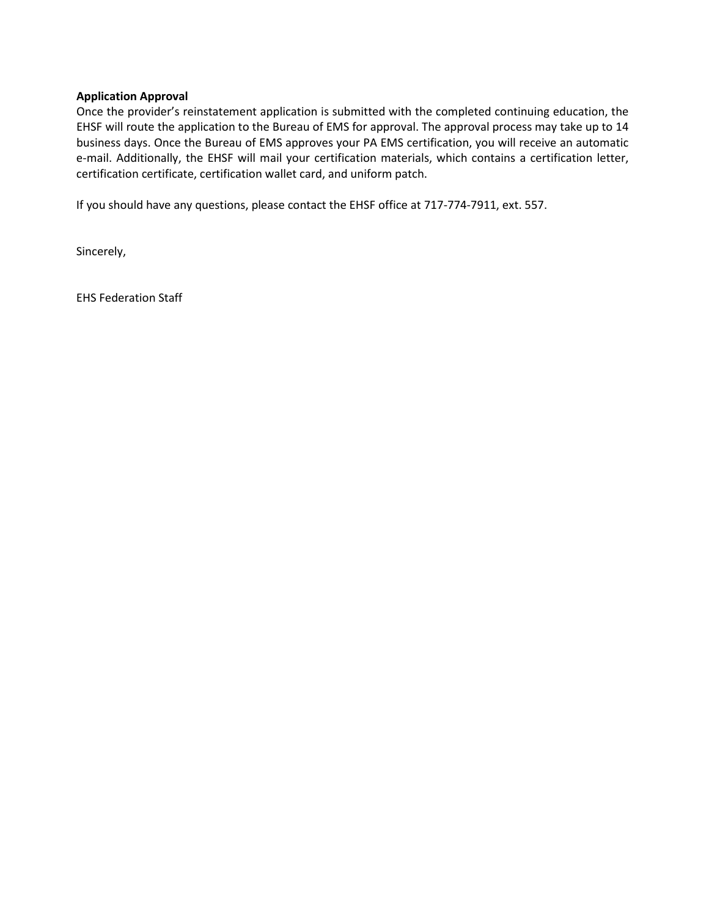#### **Application Approval**

Once the provider's reinstatement application is submitted with the completed continuing education, the EHSF will route the application to the Bureau of EMS for approval. The approval process may take up to 14 business days. Once the Bureau of EMS approves your PA EMS certification, you will receive an automatic e-mail. Additionally, the EHSF will mail your certification materials, which contains a certification letter, certification certificate, certification wallet card, and uniform patch.

If you should have any questions, please contact the EHSF office at 717-774-7911, ext. 557.

Sincerely,

EHS Federation Staff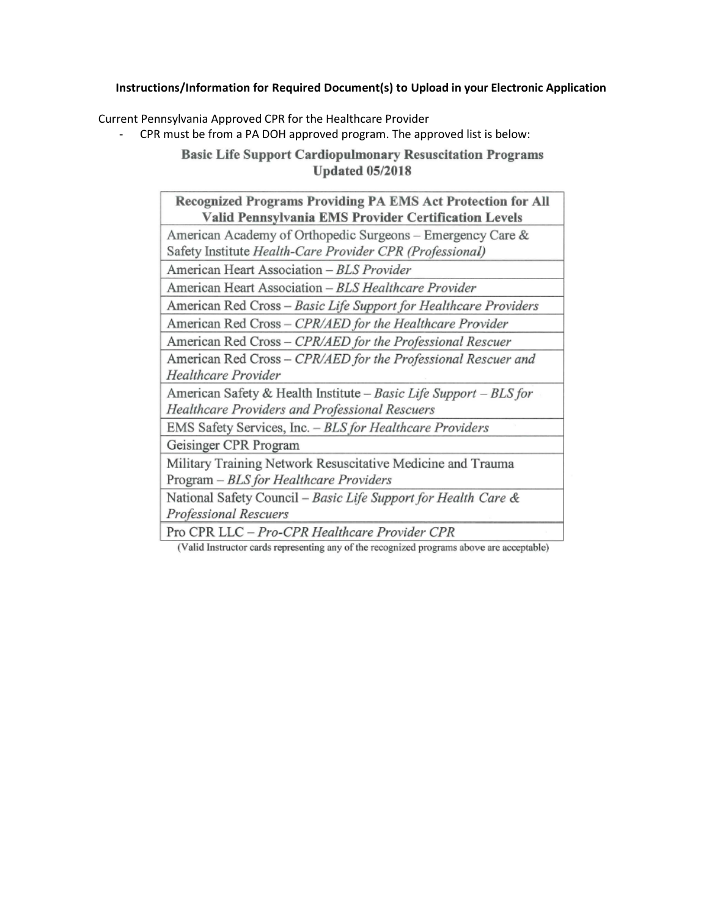# **Instructions/Information for Required Document(s) to Upload in your Electronic Application**

Current Pennsylvania Approved CPR for the Healthcare Provider

- CPR must be from a PA DOH approved program. The approved list is below:

**Basic Life Support Cardiopulmonary Resuscitation Programs Updated 05/2018** 

(Valid Instructor cards representing any of the recognized programs above are acceptable)